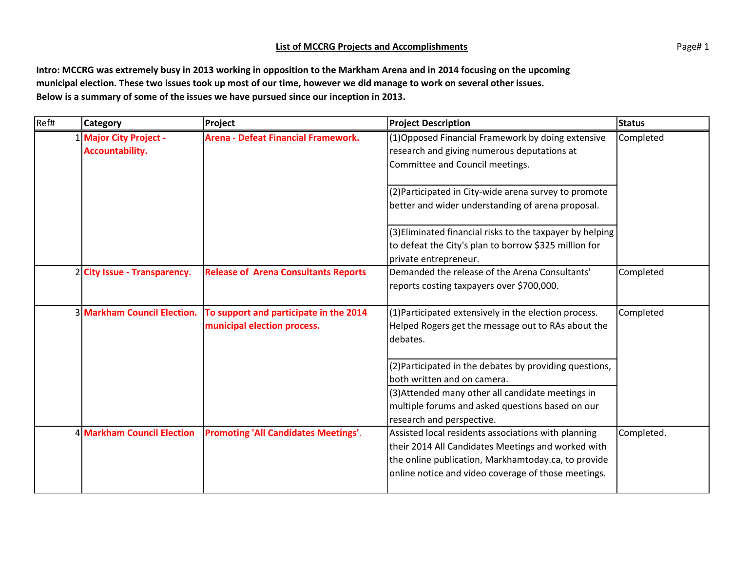## **List of MCCRG Projects and Accomplishments** Page 2014 1

**Intro: MCCRG was extremely busy in 2013 working in opposition to the Markham Arena and in 2014 focusing on the upcoming municipal election. These two issues took up most of our time, however we did manage to work on several other issues. Below is a summary of some of the issues we have pursued since our inception in 2013.**

| Ref# | <b>Category</b>              | <b>Project</b>                              | <b>Project Description</b>                                | <b>Status</b> |
|------|------------------------------|---------------------------------------------|-----------------------------------------------------------|---------------|
|      | 1 Major City Project -       | <b>Arena - Defeat Financial Framework.</b>  | (1) Opposed Financial Framework by doing extensive        | Completed     |
|      | <b>Accountability.</b>       |                                             | research and giving numerous deputations at               |               |
|      |                              |                                             | Committee and Council meetings.                           |               |
|      |                              |                                             | (2) Participated in City-wide arena survey to promote     |               |
|      |                              |                                             | better and wider understanding of arena proposal.         |               |
|      |                              |                                             | (3) Eliminated financial risks to the taxpayer by helping |               |
|      |                              |                                             | to defeat the City's plan to borrow \$325 million for     |               |
|      |                              |                                             | private entrepreneur.                                     |               |
|      | 2 City Issue - Transparency. | <b>Release of Arena Consultants Reports</b> | Demanded the release of the Arena Consultants'            | Completed     |
|      |                              |                                             | reports costing taxpayers over \$700,000.                 |               |
|      | 3 Markham Council Election.  | To support and participate in the 2014      | (1) Participated extensively in the election process.     | Completed     |
|      |                              | municipal election process.                 | Helped Rogers get the message out to RAs about the        |               |
|      |                              |                                             | debates.                                                  |               |
|      |                              |                                             | (2) Participated in the debates by providing questions,   |               |
|      |                              |                                             | both written and on camera.                               |               |
|      |                              |                                             | (3) Attended many other all candidate meetings in         |               |
|      |                              |                                             | multiple forums and asked questions based on our          |               |
|      |                              |                                             | research and perspective.                                 |               |
|      | 4 Markham Council Election   | <b>Promoting 'All Candidates Meetings'.</b> | Assisted local residents associations with planning       | Completed.    |
|      |                              |                                             | their 2014 All Candidates Meetings and worked with        |               |
|      |                              |                                             | the online publication, Markhamtoday.ca, to provide       |               |
|      |                              |                                             | online notice and video coverage of those meetings.       |               |
|      |                              |                                             |                                                           |               |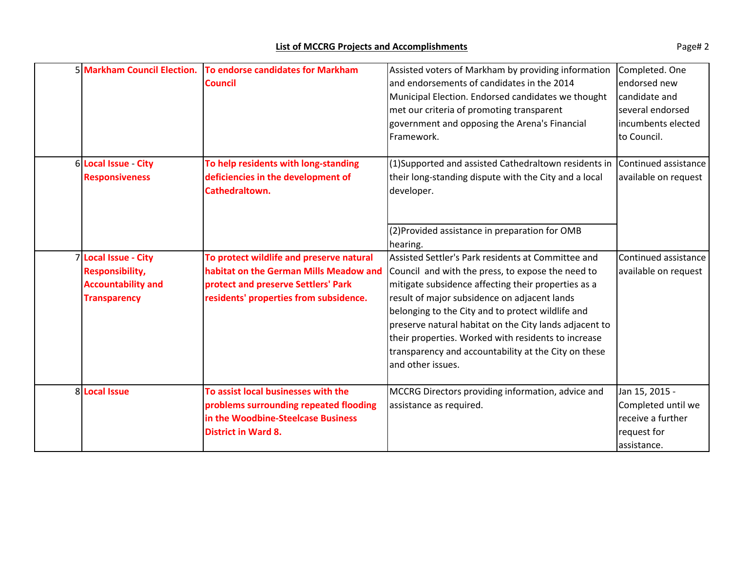| 5 Markham Council Election.                                                                        | To endorse candidates for Markham<br><b>Council</b>                                                                                                                 | Assisted voters of Markham by providing information<br>and endorsements of candidates in the 2014<br>Municipal Election. Endorsed candidates we thought<br>met our criteria of promoting transparent<br>government and opposing the Arena's Financial<br>Framework.                                                                                                                                                                                               | Completed. One<br>endorsed new<br>candidate and<br>several endorsed<br>incumbents elected<br>to Council. |
|----------------------------------------------------------------------------------------------------|---------------------------------------------------------------------------------------------------------------------------------------------------------------------|-------------------------------------------------------------------------------------------------------------------------------------------------------------------------------------------------------------------------------------------------------------------------------------------------------------------------------------------------------------------------------------------------------------------------------------------------------------------|----------------------------------------------------------------------------------------------------------|
| 6 Local Issue - City<br><b>Responsiveness</b>                                                      | To help residents with long-standing<br>deficiencies in the development of<br>Cathedraltown.                                                                        | (1)Supported and assisted Cathedraltown residents in<br>their long-standing dispute with the City and a local<br>developer.                                                                                                                                                                                                                                                                                                                                       | Continued assistance<br>available on request                                                             |
|                                                                                                    |                                                                                                                                                                     | (2) Provided assistance in preparation for OMB<br>hearing.                                                                                                                                                                                                                                                                                                                                                                                                        |                                                                                                          |
| 7 Local Issue - City<br><b>Responsibility,</b><br><b>Accountability and</b><br><b>Transparency</b> | To protect wildlife and preserve natural<br>habitat on the German Mills Meadow and<br>protect and preserve Settlers' Park<br>residents' properties from subsidence. | Assisted Settler's Park residents at Committee and<br>Council and with the press, to expose the need to<br>mitigate subsidence affecting their properties as a<br>result of major subsidence on adjacent lands<br>belonging to the City and to protect wildlife and<br>preserve natural habitat on the City lands adjacent to<br>their properties. Worked with residents to increase<br>transparency and accountability at the City on these<br>and other issues. | Continued assistance<br>available on request                                                             |
| 8 Local Issue                                                                                      | To assist local businesses with the<br>problems surrounding repeated flooding<br>in the Woodbine-Steelcase Business<br><b>District in Ward 8.</b>                   | MCCRG Directors providing information, advice and<br>assistance as required.                                                                                                                                                                                                                                                                                                                                                                                      | Jan 15, 2015 -<br>Completed until we<br>receive a further<br>request for<br>assistance.                  |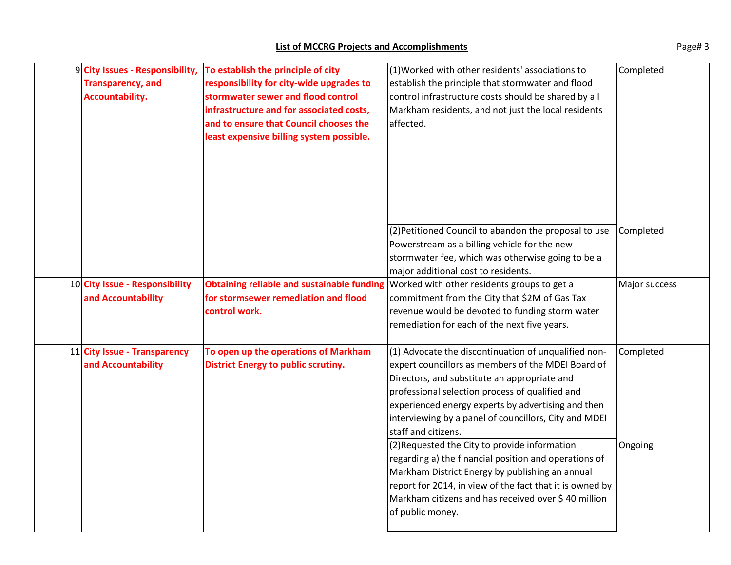| 9 City Issues - Responsibility, | To establish the principle of city         | (1) Worked with other residents' associations to                                              | Completed     |
|---------------------------------|--------------------------------------------|-----------------------------------------------------------------------------------------------|---------------|
| <b>Transparency, and</b>        | responsibility for city-wide upgrades to   | establish the principle that stormwater and flood                                             |               |
| <b>Accountability.</b>          | stormwater sewer and flood control         | control infrastructure costs should be shared by all                                          |               |
|                                 | infrastructure and for associated costs,   | Markham residents, and not just the local residents                                           |               |
|                                 | and to ensure that Council chooses the     | affected.                                                                                     |               |
|                                 | least expensive billing system possible.   |                                                                                               |               |
|                                 |                                            |                                                                                               |               |
|                                 |                                            |                                                                                               |               |
|                                 |                                            |                                                                                               |               |
|                                 |                                            |                                                                                               |               |
|                                 |                                            |                                                                                               |               |
|                                 |                                            |                                                                                               |               |
|                                 |                                            | (2) Petitioned Council to abandon the proposal to use                                         | Completed     |
|                                 |                                            | Powerstream as a billing vehicle for the new                                                  |               |
|                                 |                                            | stormwater fee, which was otherwise going to be a                                             |               |
|                                 |                                            | major additional cost to residents.                                                           |               |
| 10 City Issue - Responsibility  |                                            | <b>Obtaining reliable and sustainable funding Worked with other residents groups to get a</b> | Major success |
| and Accountability              | for stormsewer remediation and flood       | commitment from the City that \$2M of Gas Tax                                                 |               |
|                                 | control work.                              | revenue would be devoted to funding storm water                                               |               |
|                                 |                                            | remediation for each of the next five years.                                                  |               |
| 11 City Issue - Transparency    | To open up the operations of Markham       | (1) Advocate the discontinuation of unqualified non-                                          | Completed     |
| and Accountability              | <b>District Energy to public scrutiny.</b> | expert councillors as members of the MDEI Board of                                            |               |
|                                 |                                            | Directors, and substitute an appropriate and                                                  |               |
|                                 |                                            | professional selection process of qualified and                                               |               |
|                                 |                                            | experienced energy experts by advertising and then                                            |               |
|                                 |                                            | interviewing by a panel of councillors, City and MDEI                                         |               |
|                                 |                                            | staff and citizens.                                                                           |               |
|                                 |                                            | (2) Requested the City to provide information                                                 | Ongoing       |
|                                 |                                            | regarding a) the financial position and operations of                                         |               |
|                                 |                                            | Markham District Energy by publishing an annual                                               |               |
|                                 |                                            | report for 2014, in view of the fact that it is owned by                                      |               |
|                                 |                                            | Markham citizens and has received over \$40 million                                           |               |
|                                 |                                            | of public money.                                                                              |               |
|                                 |                                            |                                                                                               |               |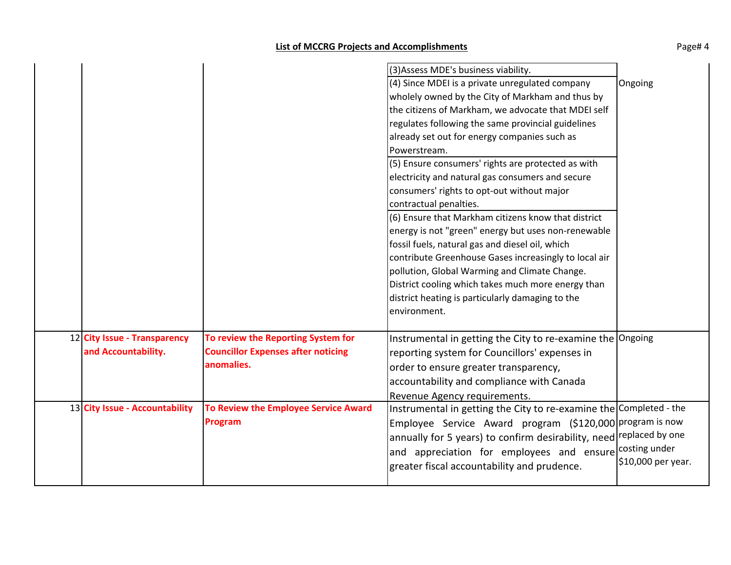|                                                     |                                                                                               | (3) Assess MDE's business viability.<br>(4) Since MDEI is a private unregulated company<br>wholely owned by the City of Markham and thus by<br>the citizens of Markham, we advocate that MDEI self<br>regulates following the same provincial guidelines<br>already set out for energy companies such as<br>Powerstream.<br>(5) Ensure consumers' rights are protected as with<br>electricity and natural gas consumers and secure<br>consumers' rights to opt-out without major<br>contractual penalties.<br>(6) Ensure that Markham citizens know that district<br>energy is not "green" energy but uses non-renewable<br>fossil fuels, natural gas and diesel oil, which<br>contribute Greenhouse Gases increasingly to local air<br>pollution, Global Warming and Climate Change.<br>District cooling which takes much more energy than<br>district heating is particularly damaging to the | Ongoing            |
|-----------------------------------------------------|-----------------------------------------------------------------------------------------------|-------------------------------------------------------------------------------------------------------------------------------------------------------------------------------------------------------------------------------------------------------------------------------------------------------------------------------------------------------------------------------------------------------------------------------------------------------------------------------------------------------------------------------------------------------------------------------------------------------------------------------------------------------------------------------------------------------------------------------------------------------------------------------------------------------------------------------------------------------------------------------------------------|--------------------|
| 12 City Issue - Transparency<br>and Accountability. | To review the Reporting System for<br><b>Councillor Expenses after noticing</b><br>anomalies. | environment.<br>Instrumental in getting the City to re-examine the Ongoing<br>reporting system for Councillors' expenses in<br>order to ensure greater transparency,<br>accountability and compliance with Canada<br>Revenue Agency requirements.                                                                                                                                                                                                                                                                                                                                                                                                                                                                                                                                                                                                                                               |                    |
| 13 City Issue - Accountability                      | To Review the Employee Service Award<br><b>Program</b>                                        | Instrumental in getting the City to re-examine the Completed - the<br>Employee Service Award program (\$120,000 program is now<br>annually for 5 years) to confirm desirability, need replaced by one<br>and appreciation for employees and ensure costing under<br>greater fiscal accountability and prudence.                                                                                                                                                                                                                                                                                                                                                                                                                                                                                                                                                                                 | \$10,000 per year. |